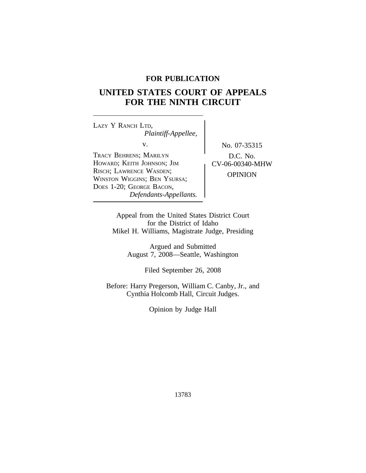## **FOR PUBLICATION**

# **UNITED STATES COURT OF APPEALS FOR THE NINTH CIRCUIT**

<sup>L</sup>AZY Y RANCH LTD, *Plaintiff-Appellee,* v. No. 07-35315 TRACY BEHRENS; MARILYN  $\bigcup$  D.C. No. HOWARD; KEITH JOHNSON; JIM CV-06-00340-MHW RISCH; LAWRENCE WASDEN; KISCH, LAWRENCE WASDEN,<br>WINSTON WIGGINS; BEN YSURSA; OPINION DOES 1-20; GEORGE BACON, *Defendants-Appellants.*

Appeal from the United States District Court for the District of Idaho Mikel H. Williams, Magistrate Judge, Presiding

> Argued and Submitted August 7, 2008—Seattle, Washington

> > Filed September 26, 2008

Before: Harry Pregerson, William C. Canby, Jr., and Cynthia Holcomb Hall, Circuit Judges.

Opinion by Judge Hall

13783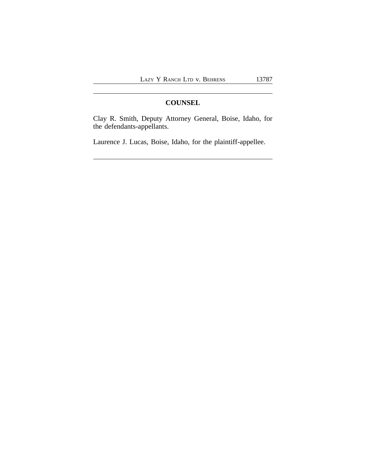## **COUNSEL**

Clay R. Smith, Deputy Attorney General, Boise, Idaho, for the defendants-appellants.

Laurence J. Lucas, Boise, Idaho, for the plaintiff-appellee.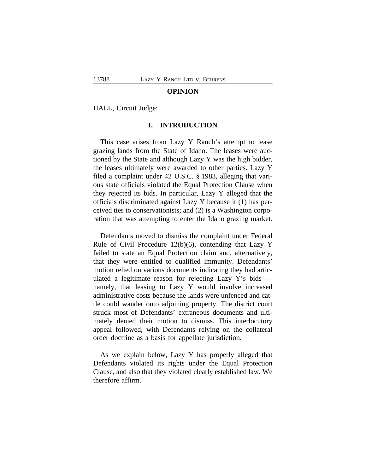#### **OPINION**

HALL, Circuit Judge:

#### **I. INTRODUCTION**

This case arises from Lazy Y Ranch's attempt to lease grazing lands from the State of Idaho. The leases were auctioned by the State and although Lazy Y was the high bidder, the leases ultimately were awarded to other parties. Lazy Y filed a complaint under 42 U.S.C. § 1983, alleging that various state officials violated the Equal Protection Clause when they rejected its bids. In particular, Lazy Y alleged that the officials discriminated against Lazy Y because it (1) has perceived ties to conservationists; and (2) is a Washington corporation that was attempting to enter the Idaho grazing market.

Defendants moved to dismiss the complaint under Federal Rule of Civil Procedure 12(b)(6), contending that Lazy Y failed to state an Equal Protection claim and, alternatively, that they were entitled to qualified immunity. Defendants' motion relied on various documents indicating they had articulated a legitimate reason for rejecting Lazy Y's bids namely, that leasing to Lazy Y would involve increased administrative costs because the lands were unfenced and cattle could wander onto adjoining property. The district court struck most of Defendants' extraneous documents and ultimately denied their motion to dismiss. This interlocutory appeal followed, with Defendants relying on the collateral order doctrine as a basis for appellate jurisdiction.

As we explain below, Lazy Y has properly alleged that Defendants violated its rights under the Equal Protection Clause, and also that they violated clearly established law. We therefore affirm.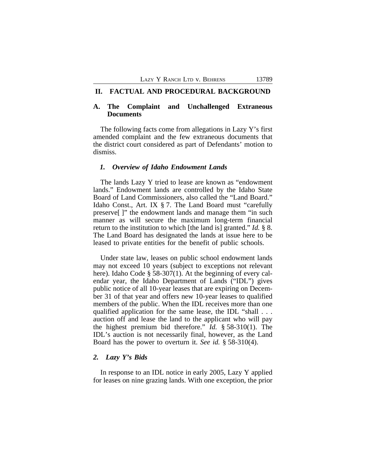#### **II. FACTUAL AND PROCEDURAL BACKGROUND**

#### **A. The Complaint and Unchallenged Extraneous Documents**

The following facts come from allegations in Lazy Y's first amended complaint and the few extraneous documents that the district court considered as part of Defendants' motion to dismiss.

#### *1. Overview of Idaho Endowment Lands*

The lands Lazy Y tried to lease are known as "endowment lands." Endowment lands are controlled by the Idaho State Board of Land Commissioners, also called the "Land Board." Idaho Const., Art. IX § 7. The Land Board must "carefully preserve[ ]" the endowment lands and manage them "in such manner as will secure the maximum long-term financial return to the institution to which [the land is] granted." *Id.* § 8. The Land Board has designated the lands at issue here to be leased to private entities for the benefit of public schools.

Under state law, leases on public school endowment lands may not exceed 10 years (subject to exceptions not relevant here). Idaho Code § 58-307(1). At the beginning of every calendar year, the Idaho Department of Lands ("IDL") gives public notice of all 10-year leases that are expiring on December 31 of that year and offers new 10-year leases to qualified members of the public. When the IDL receives more than one qualified application for the same lease, the IDL "shall . . . auction off and lease the land to the applicant who will pay the highest premium bid therefore." *Id.* § 58-310(1). The IDL's auction is not necessarily final, however, as the Land Board has the power to overturn it. *See id.* § 58-310(4).

#### *2. Lazy Y's Bids*

In response to an IDL notice in early 2005, Lazy Y applied for leases on nine grazing lands. With one exception, the prior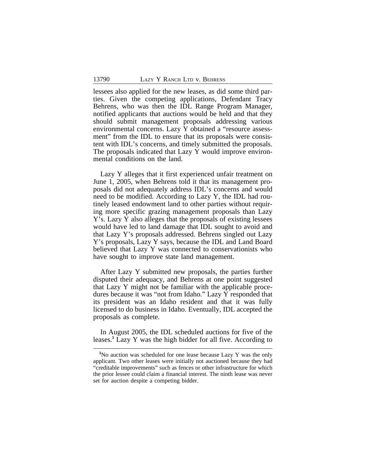lessees also applied for the new leases, as did some third parties. Given the competing applications, Defendant Tracy Behrens, who was then the IDL Range Program Manager, notified applicants that auctions would be held and that they should submit management proposals addressing various environmental concerns. Lazy Y obtained a "resource assessment" from the IDL to ensure that its proposals were consistent with IDL's concerns, and timely submitted the proposals. The proposals indicated that Lazy Y would improve environmental conditions on the land.

Lazy Y alleges that it first experienced unfair treatment on June 1, 2005, when Behrens told it that its management proposals did not adequately address IDL's concerns and would need to be modified. According to Lazy Y, the IDL had routinely leased endowment land to other parties without requiring more specific grazing management proposals than Lazy Y's. Lazy Y also alleges that the proposals of existing lessees would have led to land damage that IDL sought to avoid and that Lazy Y's proposals addressed. Behrens singled out Lazy Y's proposals, Lazy Y says, because the IDL and Land Board believed that Lazy Y was connected to conservationists who have sought to improve state land management.

After Lazy Y submitted new proposals, the parties further disputed their adequacy, and Behrens at one point suggested that Lazy Y might not be familiar with the applicable procedures because it was "not from Idaho." Lazy Y responded that its president was an Idaho resident and that it was fully licensed to do business in Idaho. Eventually, IDL accepted the proposals as complete.

In August 2005, the IDL scheduled auctions for five of the leases.**<sup>1</sup>** Lazy Y was the high bidder for all five. According to

**<sup>1</sup>**No auction was scheduled for one lease because Lazy Y was the only applicant. Two other leases were initially not auctioned because they had "creditable improvements" such as fences or other infrastructure for which the prior lessee could claim a financial interest. The ninth lease was never set for auction despite a competing bidder.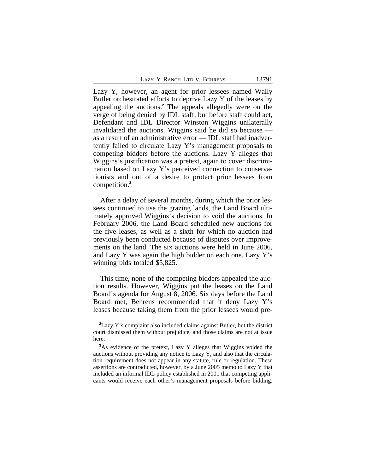|  |  |  | Lazy Y Ranch Ltd v. Behrens |
|--|--|--|-----------------------------|
|--|--|--|-----------------------------|

Lazy Y, however, an agent for prior lessees named Wally Butler orchestrated efforts to deprive Lazy Y of the leases by appealing the auctions.**<sup>2</sup>** The appeals allegedly were on the verge of being denied by IDL staff, but before staff could act, Defendant and IDL Director Winston Wiggins unilaterally invalidated the auctions. Wiggins said he did so because as a result of an administrative error — IDL staff had inadvertently failed to circulate Lazy Y's management proposals to competing bidders before the auctions. Lazy Y alleges that Wiggins's justification was a pretext, again to cover discrimination based on Lazy Y's perceived connection to conservationists and out of a desire to protect prior lessees from competition.**<sup>3</sup>**

After a delay of several months, during which the prior lessees continued to use the grazing lands, the Land Board ultimately approved Wiggins's decision to void the auctions. In February 2006, the Land Board scheduled new auctions for the five leases, as well as a sixth for which no auction had previously been conducted because of disputes over improvements on the land. The six auctions were held in June 2006, and Lazy Y was again the high bidder on each one. Lazy Y's winning bids totaled \$5,825.

This time, none of the competing bidders appealed the auction results. However, Wiggins put the leases on the Land Board's agenda for August 8, 2006. Six days before the Land Board met, Behrens recommended that it deny Lazy Y's leases because taking them from the prior lessees would pre-

**<sup>2</sup>**Lazy Y's complaint also included claims against Butler, but the district court dismissed them without prejudice, and those claims are not at issue here.

<sup>&</sup>lt;sup>3</sup>As evidence of the pretext, Lazy Y alleges that Wiggins voided the auctions without providing any notice to Lazy Y, and also that the circulation requirement does not appear in any statute, rule or regulation. These assertions are contradicted, however, by a June 2005 memo to Lazy Y that included an informal IDL policy established in 2001 that competing applicants would receive each other's management proposals before bidding.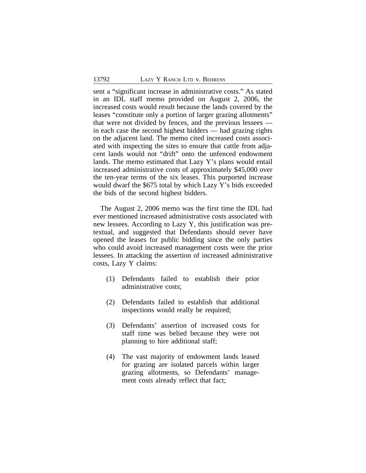sent a "significant increase in administrative costs." As stated in an IDL staff memo provided on August 2, 2006, the increased costs would result because the lands covered by the leases "constitute only a portion of larger grazing allotments" that were not divided by fences, and the previous lessees in each case the second highest bidders — had grazing rights on the adjacent land. The memo cited increased costs associated with inspecting the sites to ensure that cattle from adjacent lands would not "drift" onto the unfenced endowment lands. The memo estimated that Lazy Y's plans would entail increased administrative costs of approximately \$45,000 over the ten-year terms of the six leases. This purported increase would dwarf the \$675 total by which Lazy Y's bids exceeded the bids of the second highest bidders.

The August 2, 2006 memo was the first time the IDL had ever mentioned increased administrative costs associated with new lessees. According to Lazy Y, this justification was pretextual, and suggested that Defendants should never have opened the leases for public bidding since the only parties who could avoid increased management costs were the prior lessees. In attacking the assertion of increased administrative costs, Lazy Y claims:

- (1) Defendants failed to establish their prior administrative costs;
- (2) Defendants failed to establish that additional inspections would really be required;
- (3) Defendants' assertion of increased costs for staff time was belied because they were not planning to hire additional staff;
- (4) The vast majority of endowment lands leased for grazing are isolated parcels within larger grazing allotments, so Defendants' management costs already reflect that fact;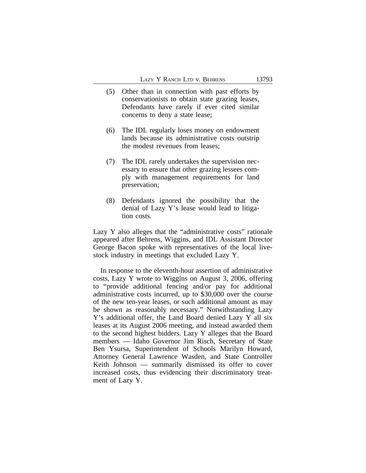- (5) Other than in connection with past efforts by conservationists to obtain state grazing leases, Defendants have rarely if ever cited similar concerns to deny a state lease;
- (6) The IDL regularly loses money on endowment lands because its administrative costs outstrip the modest revenues from leases;
- (7) The IDL rarely undertakes the supervision necessary to ensure that other grazing lessees comply with management requirements for land preservation;
- (8) Defendants ignored the possibility that the denial of Lazy Y's lease would lead to litigation costs.

Lazy Y also alleges that the "administrative costs" rationale appeared after Behrens, Wiggins, and IDL Assistant Director George Bacon spoke with representatives of the local livestock industry in meetings that excluded Lazy Y.

In response to the eleventh-hour assertion of administrative costs, Lazy Y wrote to Wiggins on August 3, 2006, offering to "provide additional fencing and/or pay for additional administrative costs incurred, up to \$30,000 over the course of the new ten-year leases, or such additional amount as may be shown as reasonably necessary." Notwithstanding Lazy Y's additional offer, the Land Board denied Lazy Y all six leases at its August 2006 meeting, and instead awarded them to the second highest bidders. Lazy Y alleges that the Board members — Idaho Governor Jim Risch, Secretary of State Ben Ysursa, Superintendent of Schools Marilyn Howard, Attorney General Lawrence Wasden, and State Controller Keith Johnson — summarily dismissed its offer to cover increased costs, thus evidencing their discriminatory treatment of Lazy Y.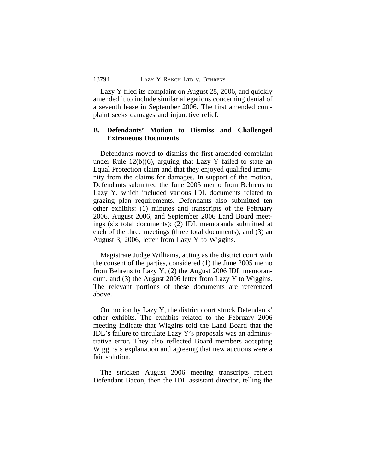Lazy Y filed its complaint on August 28, 2006, and quickly amended it to include similar allegations concerning denial of a seventh lease in September 2006. The first amended complaint seeks damages and injunctive relief.

## **B. Defendants' Motion to Dismiss and Challenged Extraneous Documents**

Defendants moved to dismiss the first amended complaint under Rule 12(b)(6), arguing that Lazy Y failed to state an Equal Protection claim and that they enjoyed qualified immunity from the claims for damages. In support of the motion, Defendants submitted the June 2005 memo from Behrens to Lazy Y, which included various IDL documents related to grazing plan requirements. Defendants also submitted ten other exhibits: (1) minutes and transcripts of the February 2006, August 2006, and September 2006 Land Board meetings (six total documents); (2) IDL memoranda submitted at each of the three meetings (three total documents); and (3) an August 3, 2006, letter from Lazy Y to Wiggins.

Magistrate Judge Williams, acting as the district court with the consent of the parties, considered (1) the June 2005 memo from Behrens to Lazy Y, (2) the August 2006 IDL memorandum, and (3) the August 2006 letter from Lazy Y to Wiggins. The relevant portions of these documents are referenced above.

On motion by Lazy Y, the district court struck Defendants' other exhibits. The exhibits related to the February 2006 meeting indicate that Wiggins told the Land Board that the IDL's failure to circulate Lazy Y's proposals was an administrative error. They also reflected Board members accepting Wiggins's explanation and agreeing that new auctions were a fair solution.

The stricken August 2006 meeting transcripts reflect Defendant Bacon, then the IDL assistant director, telling the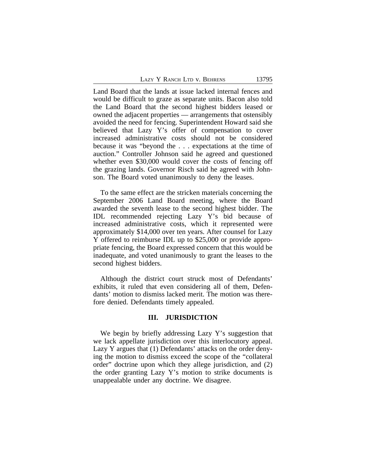|  |  |  | Lazy Y Ranch Ltd v. Behrens |
|--|--|--|-----------------------------|
|--|--|--|-----------------------------|

Land Board that the lands at issue lacked internal fences and would be difficult to graze as separate units. Bacon also told the Land Board that the second highest bidders leased or owned the adjacent properties — arrangements that ostensibly avoided the need for fencing. Superintendent Howard said she believed that Lazy Y's offer of compensation to cover increased administrative costs should not be considered because it was "beyond the . . . expectations at the time of auction." Controller Johnson said he agreed and questioned whether even \$30,000 would cover the costs of fencing off the grazing lands. Governor Risch said he agreed with Johnson. The Board voted unanimously to deny the leases.

To the same effect are the stricken materials concerning the September 2006 Land Board meeting, where the Board awarded the seventh lease to the second highest bidder. The IDL recommended rejecting Lazy Y's bid because of increased administrative costs, which it represented were approximately \$14,000 over ten years. After counsel for Lazy Y offered to reimburse IDL up to \$25,000 or provide appropriate fencing, the Board expressed concern that this would be inadequate, and voted unanimously to grant the leases to the second highest bidders.

Although the district court struck most of Defendants' exhibits, it ruled that even considering all of them, Defendants' motion to dismiss lacked merit. The motion was therefore denied. Defendants timely appealed.

#### **III. JURISDICTION**

We begin by briefly addressing Lazy Y's suggestion that we lack appellate jurisdiction over this interlocutory appeal. Lazy Y argues that (1) Defendants' attacks on the order denying the motion to dismiss exceed the scope of the "collateral order" doctrine upon which they allege jurisdiction, and (2) the order granting Lazy Y's motion to strike documents is unappealable under any doctrine. We disagree.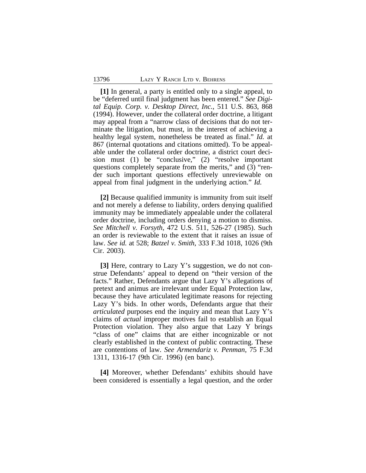**[1]** In general, a party is entitled only to a single appeal, to be "deferred until final judgment has been entered." *See Digital Equip. Corp. v. Desktop Direct, Inc.*, 511 U.S. 863, 868 (1994). However, under the collateral order doctrine, a litigant may appeal from a "narrow class of decisions that do not terminate the litigation, but must, in the interest of achieving a healthy legal system, nonetheless be treated as final." *Id.* at 867 (internal quotations and citations omitted). To be appealable under the collateral order doctrine, a district court decision must (1) be "conclusive," (2) "resolve important questions completely separate from the merits," and (3) "render such important questions effectively unreviewable on appeal from final judgment in the underlying action." *Id.*

**[2]** Because qualified immunity is immunity from suit itself and not merely a defense to liability, orders denying qualified immunity may be immediately appealable under the collateral order doctrine, including orders denying a motion to dismiss. *See Mitchell v. Forsyth*, 472 U.S. 511, 526-27 (1985). Such an order is reviewable to the extent that it raises an issue of law. *See id.* at 528; *Batzel v. Smith*, 333 F.3d 1018, 1026 (9th Cir. 2003).

**[3]** Here, contrary to Lazy Y's suggestion, we do not construe Defendants' appeal to depend on "their version of the facts." Rather, Defendants argue that Lazy Y's allegations of pretext and animus are irrelevant under Equal Protection law, because they have articulated legitimate reasons for rejecting Lazy Y's bids. In other words, Defendants argue that their *articulated* purposes end the inquiry and mean that Lazy Y's claims of *actual* improper motives fail to establish an Equal Protection violation. They also argue that Lazy Y brings "class of one" claims that are either incognizable or not clearly established in the context of public contracting. These are contentions of law. *See Armendariz v. Penman*, 75 F.3d 1311, 1316-17 (9th Cir. 1996) (en banc).

**[4]** Moreover, whether Defendants' exhibits should have been considered is essentially a legal question, and the order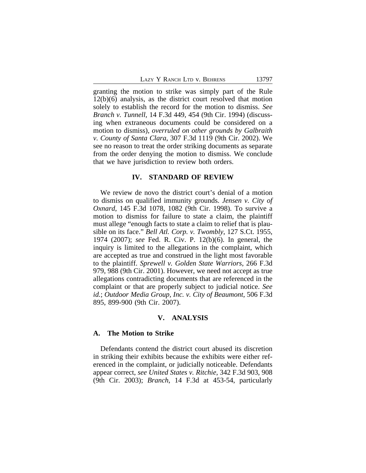LAZY Y RANCH LTD V. BEHRENS 13797

granting the motion to strike was simply part of the Rule 12(b)(6) analysis, as the district court resolved that motion solely to establish the record for the motion to dismiss. *See Branch v. Tunnell,* 14 F.3d 449, 454 (9th Cir. 1994) (discussing when extraneous documents could be considered on a motion to dismiss), *overruled on other grounds by Galbraith v. County of Santa Clara*, 307 F.3d 1119 (9th Cir. 2002). We see no reason to treat the order striking documents as separate from the order denying the motion to dismiss. We conclude that we have jurisdiction to review both orders.

#### **IV. STANDARD OF REVIEW**

We review de novo the district court's denial of a motion to dismiss on qualified immunity grounds. *Jensen v. City of Oxnard*, 145 F.3d 1078, 1082 (9th Cir. 1998). To survive a motion to dismiss for failure to state a claim, the plaintiff must allege "enough facts to state a claim to relief that is plausible on its face." *Bell Atl. Corp. v. Twombly*, 127 S.Ct. 1955, 1974 (2007); *see* Fed. R. Civ. P. 12(b)(6). In general, the inquiry is limited to the allegations in the complaint, which are accepted as true and construed in the light most favorable to the plaintiff. *Sprewell v. Golden State Warriors*, 266 F.3d 979, 988 (9th Cir. 2001). However, we need not accept as true allegations contradicting documents that are referenced in the complaint or that are properly subject to judicial notice. *See id.*; *Outdoor Media Group, Inc. v. City of Beaumont*, 506 F.3d 895, 899-900 (9th Cir. 2007).

#### **V. ANALYSIS**

#### **A. The Motion to Strike**

Defendants contend the district court abused its discretion in striking their exhibits because the exhibits were either referenced in the complaint, or judicially noticeable. Defendants appear correct, *see United States v. Ritchie*, 342 F.3d 903, 908 (9th Cir. 2003); *Branch*, 14 F.3d at 453-54, particularly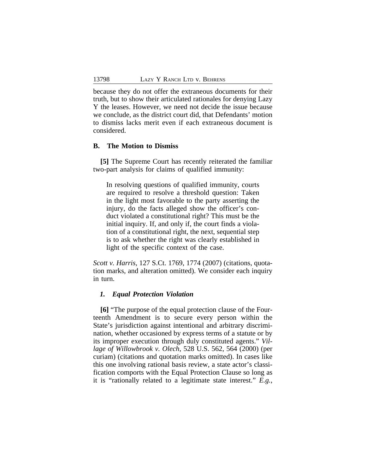because they do not offer the extraneous documents for their truth, but to show their articulated rationales for denying Lazy Y the leases. However, we need not decide the issue because we conclude, as the district court did, that Defendants' motion to dismiss lacks merit even if each extraneous document is considered.

#### **B. The Motion to Dismiss**

**[5]** The Supreme Court has recently reiterated the familiar two-part analysis for claims of qualified immunity:

In resolving questions of qualified immunity, courts are required to resolve a threshold question: Taken in the light most favorable to the party asserting the injury, do the facts alleged show the officer's conduct violated a constitutional right? This must be the initial inquiry. If, and only if, the court finds a violation of a constitutional right, the next, sequential step is to ask whether the right was clearly established in light of the specific context of the case.

*Scott v. Harris*, 127 S.Ct. 1769, 1774 (2007) (citations, quotation marks, and alteration omitted). We consider each inquiry in turn.

#### *1. Equal Protection Violation*

**[6]** "The purpose of the equal protection clause of the Fourteenth Amendment is to secure every person within the State's jurisdiction against intentional and arbitrary discrimination, whether occasioned by express terms of a statute or by its improper execution through duly constituted agents." *Village of Willowbrook v. Olech*, 528 U.S. 562, 564 (2000) (per curiam) (citations and quotation marks omitted). In cases like this one involving rational basis review, a state actor's classification comports with the Equal Protection Clause so long as it is "rationally related to a legitimate state interest." *E.g.*,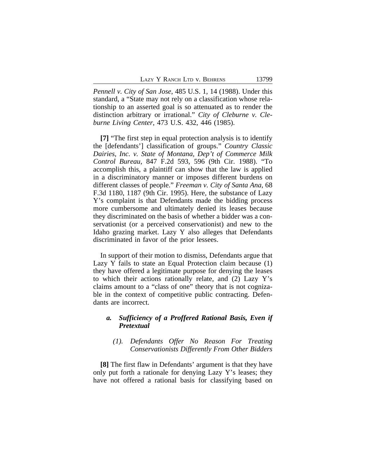*Pennell v. City of San Jose*, 485 U.S. 1, 14 (1988). Under this standard, a "State may not rely on a classification whose relationship to an asserted goal is so attenuated as to render the distinction arbitrary or irrational." *City of Cleburne v. Cleburne Living Center*, 473 U.S. 432, 446 (1985).

**[7]** "The first step in equal protection analysis is to identify the [defendants'] classification of groups." *Country Classic Dairies, Inc. v. State of Montana, Dep't of Commerce Milk Control Bureau*, 847 F.2d 593, 596 (9th Cir. 1988). "To accomplish this, a plaintiff can show that the law is applied in a discriminatory manner or imposes different burdens on different classes of people." *Freeman v. City of Santa Ana*, 68 F.3d 1180, 1187 (9th Cir. 1995). Here, the substance of Lazy Y's complaint is that Defendants made the bidding process more cumbersome and ultimately denied its leases because they discriminated on the basis of whether a bidder was a conservationist (or a perceived conservationist) and new to the Idaho grazing market. Lazy Y also alleges that Defendants discriminated in favor of the prior lessees.

In support of their motion to dismiss, Defendants argue that Lazy Y fails to state an Equal Protection claim because (1) they have offered a legitimate purpose for denying the leases to which their actions rationally relate, and (2) Lazy Y's claims amount to a "class of one" theory that is not cognizable in the context of competitive public contracting. Defendants are incorrect.

## *a. Sufficiency of a Proffered Rational Basis, Even if Pretextual*

## *(1). Defendants Offer No Reason For Treating Conservationists Differently From Other Bidders*

**[8]** The first flaw in Defendants' argument is that they have only put forth a rationale for denying Lazy Y's leases; they have not offered a rational basis for classifying based on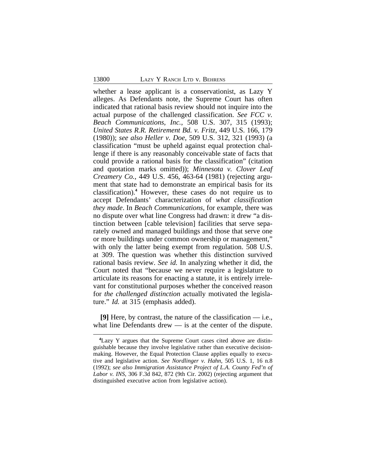whether a lease applicant is a conservationist, as Lazy Y alleges. As Defendants note, the Supreme Court has often indicated that rational basis review should not inquire into the actual purpose of the challenged classification. *See FCC v. Beach Communications, Inc.*, 508 U.S. 307, 315 (1993); *United States R.R. Retirement Bd. v. Fritz*, 449 U.S. 166, 179 (1980)); *see also Heller v. Doe*, 509 U.S. 312, 321 (1993) (a classification "must be upheld against equal protection challenge if there is any reasonably conceivable state of facts that could provide a rational basis for the classification" (citation and quotation marks omitted)); *Minnesota v. Clover Leaf Creamery Co.*, 449 U.S. 456, 463-64 (1981) (rejecting argument that state had to demonstrate an empirical basis for its classification).**<sup>4</sup>** However, these cases do not require us to accept Defendants' characterization of *what classification they made*. In *Beach Communications*, for example, there was no dispute over what line Congress had drawn: it drew "a distinction between [cable television] facilities that serve separately owned and managed buildings and those that serve one or more buildings under common ownership or management," with only the latter being exempt from regulation. 508 U.S. at 309. The question was whether this distinction survived rational basis review. *See id.* In analyzing whether it did, the Court noted that "because we never require a legislature to articulate its reasons for enacting a statute, it is entirely irrelevant for constitutional purposes whether the conceived reason for *the challenged distinction* actually motivated the legislature." *Id.* at 315 (emphasis added).

**[9]** Here, by contrast, the nature of the classification — i.e., what line Defendants drew — is at the center of the dispute.

**<sup>4</sup>**Lazy Y argues that the Supreme Court cases cited above are distinguishable because they involve legislative rather than executive decisionmaking. However, the Equal Protection Clause applies equally to executive and legislative action. *See Nordlinger v. Hahn*, 505 U.S. 1, 16 n.8 (1992); *see also Immigration Assistance Project of L.A. County Fed'n of Labor v. INS*, 306 F.3d 842, 872 (9th Cir. 2002) (rejecting argument that distinguished executive action from legislative action).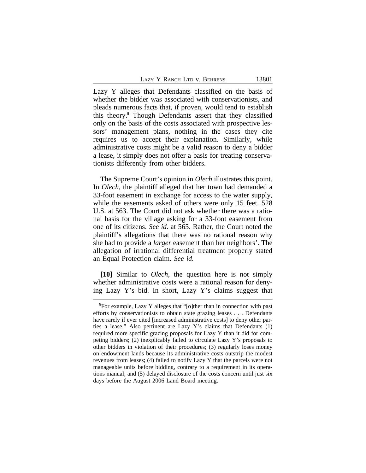Lazy Y alleges that Defendants classified on the basis of whether the bidder was associated with conservationists, and pleads numerous facts that, if proven, would tend to establish this theory.**<sup>5</sup>** Though Defendants assert that they classified only on the basis of the costs associated with prospective lessors' management plans, nothing in the cases they cite requires us to accept their explanation. Similarly, while administrative costs might be a valid reason to deny a bidder a lease, it simply does not offer a basis for treating conservationists differently from other bidders.

The Supreme Court's opinion in *Olech* illustrates this point. In *Olech*, the plaintiff alleged that her town had demanded a 33-foot easement in exchange for access to the water supply, while the easements asked of others were only 15 feet. 528 U.S. at 563. The Court did not ask whether there was a rational basis for the village asking for a 33-foot easement from one of its citizens. *See id.* at 565. Rather, the Court noted the plaintiff's allegations that there was no rational reason why she had to provide a *larger* easement than her neighbors'. The allegation of irrational differential treatment properly stated an Equal Protection claim. *See id.*

**[10]** Similar to *Olech*, the question here is not simply whether administrative costs were a rational reason for denying Lazy Y's bid. In short, Lazy Y's claims suggest that

**<sup>5</sup>**For example, Lazy Y alleges that "[o]ther than in connection with past efforts by conservationists to obtain state grazing leases . . . Defendants have rarely if ever cited [increased administrative costs] to deny other parties a lease." Also pertinent are Lazy Y's claims that Defendants (1) required more specific grazing proposals for Lazy Y than it did for competing bidders; (2) inexplicably failed to circulate Lazy Y's proposals to other bidders in violation of their procedures; (3) regularly loses money on endowment lands because its administrative costs outstrip the modest revenues from leases; (4) failed to notify Lazy Y that the parcels were not manageable units before bidding, contrary to a requirement in its operations manual; and (5) delayed disclosure of the costs concern until just six days before the August 2006 Land Board meeting.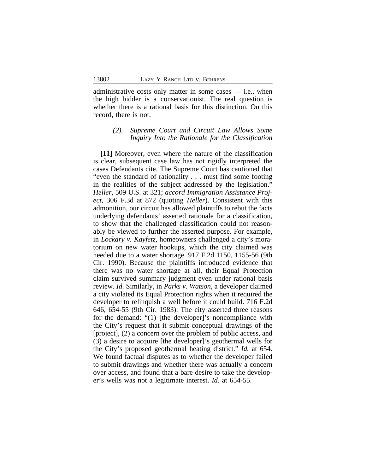administrative costs only matter in some cases — i.e., when the high bidder is a conservationist. The real question is whether there is a rational basis for this distinction. On this record, there is not.

## *(2). Supreme Court and Circuit Law Allows Some Inquiry Into the Rationale for the Classification*

**[11]** Moreover, even where the nature of the classification is clear, subsequent case law has not rigidly interpreted the cases Defendants cite. The Supreme Court has cautioned that "even the standard of rationality . . . must find some footing in the realities of the subject addressed by the legislation." *Heller*, 509 U.S. at 321; *accord Immigration Assistance Project*, 306 F.3d at 872 (quoting *Heller*). Consistent with this admonition, our circuit has allowed plaintiffs to rebut the facts underlying defendants' asserted rationale for a classification, to show that the challenged classification could not reasonably be viewed to further the asserted purpose. For example, in *Lockary v. Kayfetz*, homeowners challenged a city's moratorium on new water hookups, which the city claimed was needed due to a water shortage. 917 F.2d 1150, 1155-56 (9th Cir. 1990). Because the plaintiffs introduced evidence that there was no water shortage at all, their Equal Protection claim survived summary judgment even under rational basis review. *Id.* Similarly, in *Parks v. Watson*, a developer claimed a city violated its Equal Protection rights when it required the developer to relinquish a well before it could build. 716 F.2d 646, 654-55 (9th Cir. 1983). The city asserted three reasons for the demand: "(1) [the developer]'s noncompliance with the City's request that it submit conceptual drawings of the [project], (2) a concern over the problem of public access, and (3) a desire to acquire [the developer]'s geothermal wells for the City's proposed geothermal heating district." *Id.* at 654. We found factual disputes as to whether the developer failed to submit drawings and whether there was actually a concern over access, and found that a bare desire to take the developer's wells was not a legitimate interest. *Id.* at 654-55.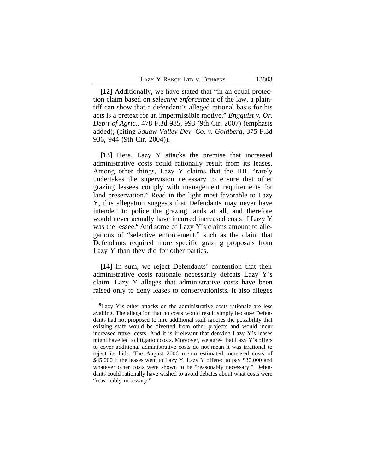**[12]** Additionally, we have stated that "in an equal protection claim based on *selective enforcement* of the law, a plaintiff can show that a defendant's alleged rational basis for his acts is a pretext for an impermissible motive." *Engquist v. Or. Dep't of Agric.*, 478 F.3d 985, 993 (9th Cir. 2007) (emphasis added); (citing *Squaw Valley Dev. Co. v. Goldberg*, 375 F.3d 936, 944 (9th Cir. 2004)).

**[13]** Here, Lazy Y attacks the premise that increased administrative costs could rationally result from its leases. Among other things, Lazy Y claims that the IDL "rarely undertakes the supervision necessary to ensure that other grazing lessees comply with management requirements for land preservation." Read in the light most favorable to Lazy Y, this allegation suggests that Defendants may never have intended to police the grazing lands at all, and therefore would never actually have incurred increased costs if Lazy Y was the lessee.<sup>6</sup> And some of Lazy Y's claims amount to allegations of "selective enforcement," such as the claim that Defendants required more specific grazing proposals from Lazy Y than they did for other parties.

**[14]** In sum, we reject Defendants' contention that their administrative costs rationale necessarily defeats Lazy Y's claim. Lazy Y alleges that administrative costs have been raised only to deny leases to conservationists. It also alleges

**<sup>6</sup>**Lazy Y's other attacks on the administrative costs rationale are less availing. The allegation that no costs would result simply because Defendants had not proposed to hire additional staff ignores the possibility that existing staff would be diverted from other projects and would incur increased travel costs. And it is irrelevant that denying Lazy Y's leases might have led to litigation costs. Moreover, we agree that Lazy Y's offers to cover additional administrative costs do not mean it was irrational to reject its bids. The August 2006 memo estimated increased costs of \$45,000 if the leases went to Lazy Y. Lazy Y offered to pay \$30,000 and whatever other costs were shown to be "reasonably necessary." Defendants could rationally have wished to avoid debates about what costs were "reasonably necessary."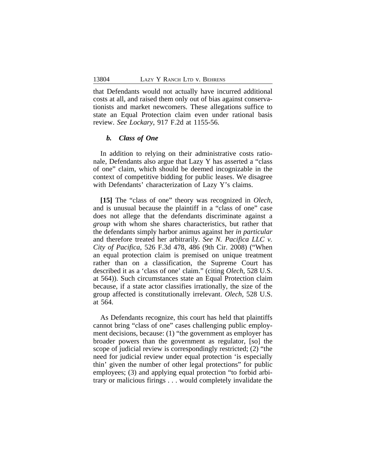that Defendants would not actually have incurred additional costs at all, and raised them only out of bias against conservationists and market newcomers. These allegations suffice to state an Equal Protection claim even under rational basis review. *See Lockary*, 917 F.2d at 1155-56.

#### *b. Class of One*

In addition to relying on their administrative costs rationale, Defendants also argue that Lazy Y has asserted a "class of one" claim, which should be deemed incognizable in the context of competitive bidding for public leases. We disagree with Defendants' characterization of Lazy Y's claims.

**[15]** The "class of one" theory was recognized in *Olech*, and is unusual because the plaintiff in a "class of one" case does not allege that the defendants discriminate against a *group* with whom she shares characteristics, but rather that the defendants simply harbor animus against her *in particular* and therefore treated her arbitrarily. *See N. Pacifica LLC v. City of Pacifica*, 526 F.3d 478, 486 (9th Cir. 2008) ("When an equal protection claim is premised on unique treatment rather than on a classification, the Supreme Court has described it as a 'class of one' claim." (citing *Olech*, 528 U.S. at 564)). Such circumstances state an Equal Protection claim because, if a state actor classifies irrationally, the size of the group affected is constitutionally irrelevant. *Olech*, 528 U.S. at 564.

As Defendants recognize, this court has held that plaintiffs cannot bring "class of one" cases challenging public employment decisions, because: (1) "the government as employer has broader powers than the government as regulator, [so] the scope of judicial review is correspondingly restricted; (2) "the need for judicial review under equal protection 'is especially thin' given the number of other legal protections" for public employees; (3) and applying equal protection "to forbid arbitrary or malicious firings . . . would completely invalidate the